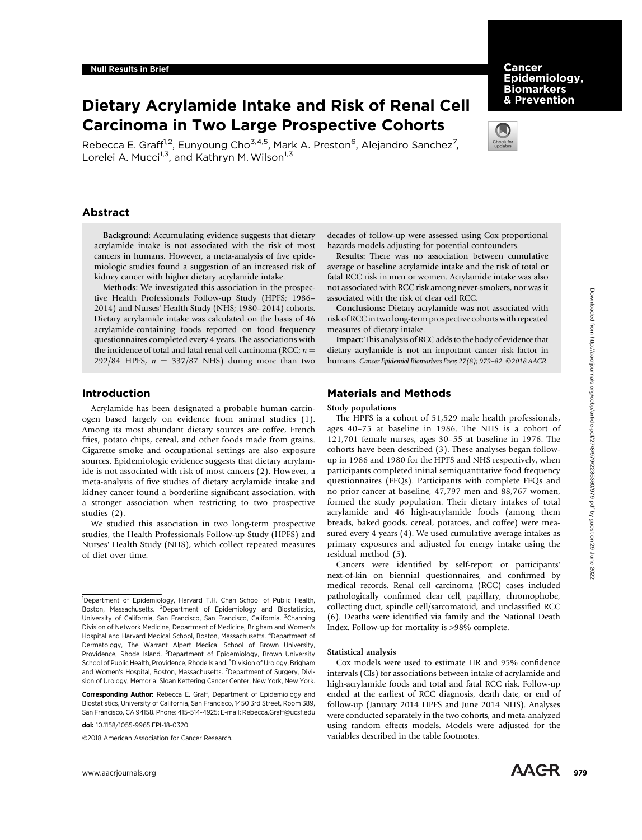# Dietary Acrylamide Intake and Risk of Renal Cell Carcinoma in Two Large Prospective Cohorts

Rebecca E. Graff<sup>1,2</sup>, Eunyoung Cho<sup>3,4,5</sup>, Mark A. Preston<sup>6</sup>, Alejandro Sanchez<sup>7</sup>, Lorelei A. Mucci<sup>1,3</sup>, and Kathryn M. Wilson<sup>1,3</sup>

## Abstract

Background: Accumulating evidence suggests that dietary acrylamide intake is not associated with the risk of most cancers in humans. However, a meta-analysis of five epidemiologic studies found a suggestion of an increased risk of kidney cancer with higher dietary acrylamide intake.

Methods: We investigated this association in the prospective Health Professionals Follow-up Study (HPFS; 1986– 2014) and Nurses' Health Study (NHS; 1980–2014) cohorts. Dietary acrylamide intake was calculated on the basis of 46 acrylamide-containing foods reported on food frequency questionnaires completed every 4 years. The associations with the incidence of total and fatal renal cell carcinoma (RCC;  $n =$ 292/84 HPFS,  $n = 337/87$  NHS) during more than two

## Introduction

Acrylamide has been designated a probable human carcinogen based largely on evidence from animal studies (1). Among its most abundant dietary sources are coffee, French fries, potato chips, cereal, and other foods made from grains. Cigarette smoke and occupational settings are also exposure sources. Epidemiologic evidence suggests that dietary acrylamide is not associated with risk of most cancers (2). However, a meta-analysis of five studies of dietary acrylamide intake and kidney cancer found a borderline significant association, with a stronger association when restricting to two prospective studies (2).

We studied this association in two long-term prospective studies, the Health Professionals Follow-up Study (HPFS) and Nurses' Health Study (NHS), which collect repeated measures of diet over time.

doi: 10.1158/1055-9965.EPI-18-0320

2018 American Association for Cancer Research.

decades of follow-up were assessed using Cox proportional hazards models adjusting for potential confounders.

Results: There was no association between cumulative average or baseline acrylamide intake and the risk of total or fatal RCC risk in men or women. Acrylamide intake was also not associated with RCC risk among never-smokers, nor was it associated with the risk of clear cell RCC.

Conclusions: Dietary acrylamide was not associated with risk of RCC in two long-term prospective cohorts with repeated measures of dietary intake.

Impact: This analysis of RCC adds to the body of evidence that dietary acrylamide is not an important cancer risk factor in humans. Cancer Epidemiol Biomarkers Prev; 27(8); 979-82. ©2018 AACR.

## Materials and Methods

### Study populations

The HPFS is a cohort of 51,529 male health professionals, ages 40–75 at baseline in 1986. The NHS is a cohort of 121,701 female nurses, ages 30–55 at baseline in 1976. The cohorts have been described (3). These analyses began followup in 1986 and 1980 for the HPFS and NHS respectively, when participants completed initial semiquantitative food frequency questionnaires (FFQs). Participants with complete FFQs and no prior cancer at baseline, 47,797 men and 88,767 women, formed the study population. Their dietary intakes of total acrylamide and 46 high-acrylamide foods (among them breads, baked goods, cereal, potatoes, and coffee) were measured every 4 years (4). We used cumulative average intakes as primary exposures and adjusted for energy intake using the residual method (5).

Cancers were identified by self-report or participants' next-of-kin on biennial questionnaires, and confirmed by medical records. Renal cell carcinoma (RCC) cases included pathologically confirmed clear cell, papillary, chromophobe, collecting duct, spindle cell/sarcomatoid, and unclassified RCC (6). Deaths were identified via family and the National Death Index. Follow-up for mortality is >98% complete.

#### Statistical analysis

Cox models were used to estimate HR and 95% confidence intervals (CIs) for associations between intake of acrylamide and high-acrylamide foods and total and fatal RCC risk. Follow-up ended at the earliest of RCC diagnosis, death date, or end of follow-up (January 2014 HPFS and June 2014 NHS). Analyses were conducted separately in the two cohorts, and meta-analyzed using random effects models. Models were adjusted for the variables described in the table footnotes.



<sup>&</sup>lt;sup>1</sup>Department of Epidemiology, Harvard T.H. Chan School of Public Health, Boston, Massachusetts. <sup>2</sup>Department of Epidemiology and Biostatistics, University of California, San Francisco, San Francisco, California. <sup>3</sup>Channing Division of Network Medicine, Department of Medicine, Brigham and Women's Hospital and Harvard Medical School, Boston, Massachusetts. <sup>4</sup>Department of Dermatology, The Warrant Alpert Medical School of Brown University, Providence, Rhode Island. <sup>5</sup>Department of Epidemiology, Brown University School of Public Health, Providence, Rhode Island. <sup>6</sup>Division of Urology, Brigham and Women's Hospital, Boston, Massachusetts. <sup>7</sup>Department of Surgery, Division of Urology, Memorial Sloan Kettering Cancer Center, New York, New York.

Corresponding Author: Rebecca E. Graff, Department of Epidemiology and Biostatistics, University of California, San Francisco, 1450 3rd Street, Room 389, San Francisco, CA 94158. Phone: 415-514-4925; E-mail: Rebecca.Graff@ucsf.edu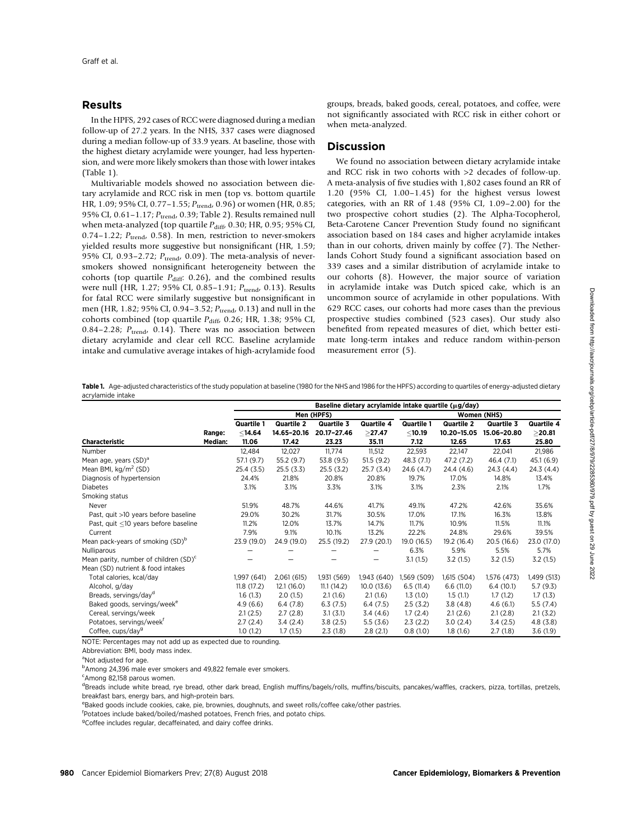## Results

In the HPFS, 292 cases of RCC were diagnosed during a median follow-up of 27.2 years. In the NHS, 337 cases were diagnosed during a median follow-up of 33.9 years. At baseline, those with the highest dietary acrylamide were younger, had less hypertension, and were more likely smokers than those with lower intakes (Table 1).

Multivariable models showed no association between dietary acrylamide and RCC risk in men (top vs. bottom quartile HR, 1.09; 95% CI, 0.77-1.55;  $P_{\text{trend}}$ , 0.96) or women (HR, 0.85; 95% CI, 0.61-1.17; P<sub>trend</sub>, 0.39; Table 2). Results remained null when meta-analyzed (top quartile  $P_{\text{diff}}$ , 0.30; HR, 0.95; 95% CI, 0.74–1.22;  $P_{\text{trend}}$ , 0.58). In men, restriction to never-smokers yielded results more suggestive but nonsignificant (HR, 1.59; 95% CI, 0.93-2.72;  $P_{trend}$ , 0.09). The meta-analysis of neversmokers showed nonsignificant heterogeneity between the cohorts (top quartile  $P_{\text{diff}}$ : 0.26), and the combined results were null (HR, 1.27; 95% CI, 0.85-1.91; P<sub>trend</sub>, 0.13). Results for fatal RCC were similarly suggestive but nonsignificant in men (HR, 1.82; 95% CI, 0.94–3.52;  $P_{\mathrm{trend}},$  0.13) and null in the cohorts combined (top quartile  $P_{\text{diff}}$ , 0.26; HR, 1.38; 95% CI, 0.84–2.28;  $P_{trend}$ , 0.14). There was no association between dietary acrylamide and clear cell RCC. Baseline acrylamide intake and cumulative average intakes of high-acrylamide food groups, breads, baked goods, cereal, potatoes, and coffee, were not significantly associated with RCC risk in either cohort or when meta-analyzed.

## Discussion

We found no association between dietary acrylamide intake and RCC risk in two cohorts with >2 decades of follow-up. A meta-analysis of five studies with 1,802 cases found an RR of 1.20 (95% CI, 1.00–1.45) for the highest versus lowest categories, with an RR of 1.48 (95% CI, 1.09–2.00) for the two prospective cohort studies (2). The Alpha-Tocopherol, Beta-Carotene Cancer Prevention Study found no significant association based on 184 cases and higher acrylamide intakes than in our cohorts, driven mainly by coffee (7). The Netherlands Cohort Study found a significant association based on 339 cases and a similar distribution of acrylamide intake to our cohorts (8). However, the major source of variation in acrylamide intake was Dutch spiced cake, which is an uncommon source of acrylamide in other populations. With 629 RCC cases, our cohorts had more cases than the previous prospective studies combined (523 cases). Our study also benefited from repeated measures of diet, which better estimate long-term intakes and reduce random within-person measurement error (5).

Table 1. Age-adjusted characteristics of the study population at baseline (1980 for the NHS and 1986 for the HPFS) according to quartiles of energy-adjusted dietary acrylamide intake

|                                              |            | Baseline dietary acrylamide intake quartile (µg/day) |                   |                   |             |                   |                   |                   |             |  |
|----------------------------------------------|------------|------------------------------------------------------|-------------------|-------------------|-------------|-------------------|-------------------|-------------------|-------------|--|
|                                              | Men (HPFS) |                                                      |                   |                   | Women (NHS) |                   |                   |                   |             |  |
|                                              |            | <b>Quartile 1</b>                                    | <b>Quartile 2</b> | <b>Quartile 3</b> | Quartile 4  | <b>Quartile 1</b> | <b>Quartile 2</b> | <b>Quartile 3</b> | Quartile 4  |  |
|                                              | Range:     | $<$ 14.64                                            | 14.65-20.16       | 20.17-27.46       | $>$ 27.47   | ≤10.19            | 10.20-15.05       | 15.06-20.80       | >20.81      |  |
| <b>Characteristic</b>                        | Median:    | 11.06                                                | 17.42             | 23.23             | 35.11       | 7.12              | 12.65             | 17.63             | 25.80       |  |
| Number                                       |            | 12,484                                               | 12,027            | 11,774            | 11,512      | 22,593            | 22,147            | 22,041            | 21,986      |  |
| Mean age, years (SD) <sup>a</sup>            |            | 57.1 (9.7)                                           | 55.2 (9.7)        | 53.8 (9.5)        | 51.5(9.2)   | 48.3 (7.1)        | 47.2 (7.2)        | 46.4 (7.1)        | 45.1 (6.9)  |  |
| Mean BMI, $kg/m2$ (SD)                       |            | 25.4(3.5)                                            | 25.5(3.3)         | 25.5(3.2)         | 25.7(3.4)   | 24.6 (4.7)        | 24.4(4.6)         | 24.3(4.4)         | 24.3(4.4)   |  |
| Diagnosis of hypertension                    |            | 24.4%                                                | 21.8%             | 20.8%             | 20.8%       | 19.7%             | 17.0%             | 14.8%             | 13.4%       |  |
| <b>Diabetes</b>                              |            | 3.1%                                                 | 3.1%              | 3.3%              | 3.1%        | 3.1%              | 2.3%              | 2.1%              | 1.7%        |  |
| Smoking status                               |            |                                                      |                   |                   |             |                   |                   |                   |             |  |
| Never                                        |            | 51.9%                                                | 48.7%             | 44.6%             | 41.7%       | 49.1%             | 47.2%             | 42.6%             | 35.6%       |  |
| Past, quit >10 years before baseline         |            | 29.0%                                                | 30.2%             | 31.7%             | 30.5%       | 17.0%             | 17.1%             | 16.3%             | 13.8%       |  |
| Past, quit $\leq$ 10 years before baseline   |            | 11.2%                                                | 12.0%             | 13.7%             | 14.7%       | 11.7%             | 10.9%             | 11.5%             | 11.1%       |  |
| Current                                      |            | 7.9%                                                 | 9.1%              | 10.1%             | 13.2%       | 22.2%             | 24.8%             | 29.6%             | 39.5%       |  |
| Mean pack-years of smoking (SD) <sup>b</sup> |            | 23.9 (19.0)                                          | 24.9 (19.0)       | 25.5 (19.2)       | 27.9 (20.1) | 19.0 (16.5)       | 19.2 (16.4)       | 20.5 (16.6)       | 23.0 (17.0) |  |
| <b>Nulliparous</b>                           |            |                                                      |                   |                   |             | 6.3%              | 5.9%              | 5.5%              | 5.7%        |  |
| Mean parity, number of children $(SD)^c$     |            |                                                      |                   |                   |             | 3.1(1.5)          | 3.2(1.5)          | 3.2(1.5)          | 3.2(1.5)    |  |
| Mean (SD) nutrient & food intakes            |            |                                                      |                   |                   |             |                   |                   |                   |             |  |
| Total calories, kcal/day                     |            | 1,997 (641)                                          | 2,061(615)        | 1,931 (569)       | 1,943 (640) | 1,569 (509)       | 1,615 (504)       | 1,576 (473)       | 1,499 (513) |  |
| Alcohol, g/day                               |            | 11.8(17.2)                                           | 12.1(16.0)        | 11.1(14.2)        | 10.0(13.6)  | 6.5(11.4)         | 6.6(11.0)         | 6.4(10.1)         | 5.7(9.3)    |  |
| Breads, servings/day <sup>d</sup>            |            | 1.6(1.3)                                             | 2.0(1.5)          | 2.1(1.6)          | 2.1(1.6)    | 1.3(1.0)          | 1.5(1.1)          | 1.7(1.2)          | 1.7(1.3)    |  |
| Baked goods, servings/week <sup>e</sup>      |            | 4.9(6.6)                                             | 6.4(7.8)          | 6.3(7.5)          | 6.4(7.5)    | 2.5(3.2)          | 3.8(4.8)          | 4.6(6.1)          | 5.5(7.4)    |  |
| Cereal, servings/week                        |            | 2.1(2.5)                                             | 2.7(2.8)          | 3.1(3.1)          | 3.4(4.6)    | 1.7(2.4)          | 2.1(2.6)          | 2.1(2.8)          | 2.1(3.2)    |  |
| Potatoes, servings/week <sup>T</sup>         |            | 2.7(2.4)                                             | 3.4(2.4)          | 3.8(2.5)          | 5.5(3.6)    | 2.3(2.2)          | 3.0(2.4)          | 3.4(2.5)          | 4.8(3.8)    |  |
| Coffee, cups/day <sup>9</sup>                |            | 1.0(1.2)                                             | 1.7(1.5)          | 2.3(1.8)          | 2.8(2.1)    | 0.8(1.0)          | 1.8(1.6)          | 2.7(1.8)          | 3.6(1.9)    |  |

NOTE: Percentages may not add up as expected due to rounding.

Abbreviation: BMI, body mass index.

<sup>a</sup>Not adjusted for age.

<sup>b</sup> Among 24,396 male ever smokers and 49,822 female ever smokers.

dBreads include white bread, rye bread, other dark bread, English muffins/bagels/rolls, muffins/biscuits, pancakes/waffles, crackers, pizza, tortillas, pretzels, breakfast bars, energy bars, and high-protein bars.

eBaked goods include cookies, cake, pie, brownies, doughnuts, and sweet rolls/coffee cake/other pastries.

f Potatoes include baked/boiled/mashed potatoes, French fries, and potato chips.

<sup>g</sup>Coffee includes regular, decaffeinated, and dairy coffee drinks.

2022

Downloaded from http://aacrjournals.org/cebp/article-pdf/27/8/979/2285360/979.pdf by guest on 29 June Downloaded from http://aacrjournals.org/cebp/article-pdf/27/8/979/2285360/979.pdf by guest on 29 June 2022

c Among 82,158 parous women.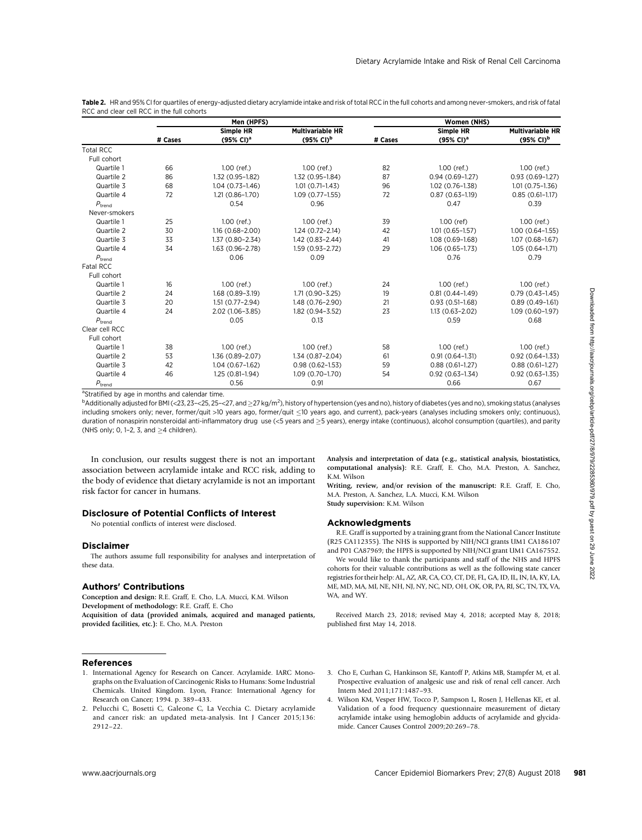Table 2. HR and 95% CI for quartiles of energy-adjusted dietary acrylamide intake and risk of total RCC in the full cohorts and among never-smokers, and risk of fatal RCC and clear cell RCC in the full cohorts

|                    |         | Men (HPFS)            |                          | Women (NHS) |                       |                         |  |
|--------------------|---------|-----------------------|--------------------------|-------------|-----------------------|-------------------------|--|
|                    |         | Simple HR             | <b>Multivariable HR</b>  |             | Simple HR             | <b>Multivariable HR</b> |  |
|                    | # Cases | $(95\% \text{ Cl})^a$ | $(95\%$ CI) <sup>b</sup> | # Cases     | $(95\% \text{ Cl})^a$ | (95% CI) <sup>b</sup>   |  |
| <b>Total RCC</b>   |         |                       |                          |             |                       |                         |  |
| Full cohort        |         |                       |                          |             |                       |                         |  |
| Quartile 1         | 66      | $1.00$ (ref.)         | $1.00$ (ref.)            | 82          | $1.00$ (ref.)         | $1.00$ (ref.)           |  |
| Quartile 2         | 86      | 1.32 (0.95-1.82)      | 1.32 (0.95-1.84)         | 87          | $0.94(0.69-1.27)$     | $0.93(0.69-1.27)$       |  |
| Quartile 3         | 68      | $1.04(0.73 - 1.46)$   | $1.01(0.71 - 1.43)$      | 96          | 1.02 (0.76-1.38)      | $1.01(0.75 - 1.36)$     |  |
| Quartile 4         | 72      | $1.21(0.86 - 1.70)$   | $1.09(0.77 - 1.55)$      | 72          | $0.87(0.63 - 1.19)$   | $0.85(0.61-1.17)$       |  |
| $P_{\text{trend}}$ |         | 0.54                  | 0.96                     |             | 0.47                  | 0.39                    |  |
| Never-smokers      |         |                       |                          |             |                       |                         |  |
| Quartile 1         | 25      | $1.00$ (ref.)         | $1.00$ (ref.)            | 39          | $1.00$ (ref)          | $1.00$ (ref.)           |  |
| Quartile 2         | 30      | $1.16(0.68 - 2.00)$   | $1.24(0.72 - 2.14)$      | 42          | $1.01(0.65 - 1.57)$   | $1.00(0.64 - 1.55)$     |  |
| Quartile 3         | 33      | 1.37 (0.80-2.34)      | $1.42(0.83 - 2.44)$      | 41          | $1.08(0.69 - 1.68)$   | $1.07(0.68 - 1.67)$     |  |
| Quartile 4         | 34      | 1.63 (0.96-2.78)      | 1.59 (0.93-2.72)         | 29          | $1.06(0.65 - 1.73)$   | $1.05(0.64 - 1.71)$     |  |
| $P_{\text{trend}}$ |         | 0.06                  | 0.09                     |             | 0.76                  | 0.79                    |  |
| <b>Fatal RCC</b>   |         |                       |                          |             |                       |                         |  |
| Full cohort        |         |                       |                          |             |                       |                         |  |
| Quartile 1         | 16      | $1.00$ (ref.)         | $1.00$ (ref.)            | 24          | $1.00$ (ref.)         | $1.00$ (ref.)           |  |
| Quartile 2         | 24      | $1.68(0.89 - 3.19)$   | $1.71(0.90 - 3.25)$      | 19          | $0.81(0.44 - 1.49)$   | $0.79(0.43 - 1.45)$     |  |
| Quartile 3         | 20      | $1.51(0.77 - 2.94)$   | 1.48 (0.76-2.90)         | 21          | $0.93(0.51-1.68)$     | $0.89(0.49-1.61)$       |  |
| Quartile 4         | 24      | 2.02 (1.06-3.85)      | 1.82 (0.94-3.52)         | 23          | $1.13(0.63 - 2.02)$   | $1.09(0.60 - 1.97)$     |  |
| $P_{\text{trend}}$ |         | 0.05                  | 0.13                     |             | 0.59                  | 0.68                    |  |
| Clear cell RCC     |         |                       |                          |             |                       |                         |  |
| Full cohort        |         |                       |                          |             |                       |                         |  |
| Quartile 1         | 38      | $1.00$ (ref.)         | $1.00$ (ref.)            | 58          | $1.00$ (ref.)         | $1.00$ (ref.)           |  |
| Quartile 2         | 53      | 1.36 (0.89-2.07)      | 1.34 (0.87-2.04)         | 61          | $0.91(0.64 - 1.31)$   | $0.92(0.64 - 1.33)$     |  |
| Quartile 3         | 42      | $1.04(0.67-1.62)$     | $0.98(0.62 - 1.53)$      | 59          | $0.88(0.61-1.27)$     | $0.88(0.61-1.27)$       |  |
| Quartile 4         | 46      | $1.25(0.81-1.94)$     | $1.09(0.70 - 1.70)$      | 54          | $0.92(0.63 - 1.34)$   | $0.92(0.63 - 1.35)$     |  |
| $P_{\text{trend}}$ |         | 0.56                  | 0.91                     |             | 0.66                  | 0.67                    |  |

<sup>a</sup>Stratified by age in months and calendar time.

 $^{\rm b}$ Additionally adjusted for BMI (<23, 23–<25, 25–<27, and  $\geq$ 27 kg/m<sup>2</sup>), history of hypertension (yes and no), history of diabetes (yes and no), smoking status (analyses including smokers only; never, former/quit >10 years ago, former/quit ≤10 years ago, and current), pack-years (analyses including smokers only; continuous), duration of nonaspirin nonsteroidal anti-inflammatory drug use (<5 years and ≥5 years), energy intake (continuous), alcohol consumption (quartiles), and parity (NHS only; 0, 1-2, 3, and  $\geq$  4 children).

In conclusion, our results suggest there is not an important association between acrylamide intake and RCC risk, adding to the body of evidence that dietary acrylamide is not an important risk factor for cancer in humans.

## Disclosure of Potential Conflicts of Interest

No potential conflicts of interest were disclosed.

#### Disclaimer

The authors assume full responsibility for analyses and interpretation of these data

#### Authors' Contributions

Conception and design: R.E. Graff, E. Cho, L.A. Mucci, K.M. Wilson Development of methodology: R.E. Graff, E. Cho Acquisition of data (provided animals, acquired and managed patients, provided facilities, etc.): E. Cho, M.A. Preston

#### References

- 1. International Agency for Research on Cancer. Acrylamide. IARC Monographs on the Evaluation of Carcinogenic Risks to Humans: Some Industrial Chemicals. United Kingdom. Lyon, France: International Agency for Research on Cancer; 1994. p. 389–433.
- 2. Pelucchi C, Bosetti C, Galeone C, La Vecchia C. Dietary acrylamide and cancer risk: an updated meta-analysis. Int J Cancer 2015;136: 2912–22.

Analysis and interpretation of data (e.g., statistical analysis, biostatistics, computational analysis): R.E. Graff, E. Cho, M.A. Preston, A. Sanchez, K.M. Wilson

Writing, review, and/or revision of the manuscript: R.E. Graff, E. Cho, M.A. Preston, A. Sanchez, L.A. Mucci, K.M. Wilson Study supervision: K.M. Wilson

#### Acknowledgments

R.E. Graff is supported by a training grant from the National Cancer Institute (R25 CA112355). The NHS is supported by NIH/NCI grants UM1 CA186107 and P01 CA87969; the HPFS is supported by NIH/NCI grant UM1 CA167552. We would like to thank the participants and staff of the NHS and HPFS cohorts for their valuable contributions as well as the following state cancer registries for their help: AL, AZ, AR, CA, CO, CT, DE, FL, GA, ID, IL, IN, IA, KY, LA, ME, MD, MA, MI, NE, NH, NJ, NY, NC, ND, OH, OK, OR, PA, RI, SC, TN, TX, VA, WA, and WY.

Received March 23, 2018; revised May 4, 2018; accepted May 8, 2018; published first May 14, 2018.

- 3. Cho E, Curhan G, Hankinson SE, Kantoff P, Atkins MB, Stampfer M, et al. Prospective evaluation of analgesic use and risk of renal cell cancer. Arch Intern Med 2011;171:1487–93.
- 4. Wilson KM, Vesper HW, Tocco P, Sampson L, Rosen J, Hellenas KE, et al. Validation of a food frequency questionnaire measurement of dietary acrylamide intake using hemoglobin adducts of acrylamide and glycidamide. Cancer Causes Control 2009;20:269–78.